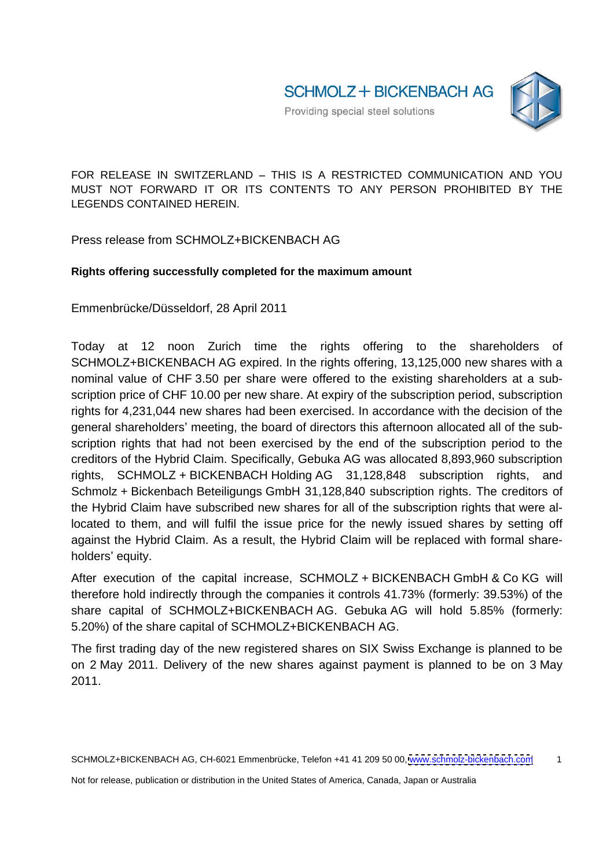FOR RELEASE IN SWITZERLAND - THIS IS A RESTRICTED COMMUNICATION AND YOU MUST NOT FORWARD IT OR ITS CONTENTS TO ANY PERSON PROHIBITED BY THE LEGENDS CONTAINED HEREIN.

Press release from SCHMOLZ+BICKENBACH AG

## **Rights offering successfully completed for the maximum amount**

Emmenbrücke/Düsseldorf, 28 April 2011

Today at 12 noon Zurich time the rights offering to the shareholders of SCHMOLZ+BICKENBACH AG expired. In the rights offering, 13,125,000 new shares with a nominal value of CHF 3.50 per share were offered to the existing shareholders at a subscription price of CHF 10.00 per new share. At expiry of the subscription period, subscription rights for 4,231,044 new shares had been exercised. In accordance with the decision of the general shareholders' meeting, the board of directors this afternoon allocated all of the subscription rights that had not been exercised by the end of the subscription period to the creditors of the Hybrid Claim. Specifically, Gebuka AG was allocated 8,893,960 subscription rights, SCHMOLZ + BICKENBACH Holding AG 31,128,848 subscription rights, and Schmolz + Bickenbach Beteiligungs GmbH 31,128,840 subscription rights. The creditors of the Hybrid Claim have subscribed new shares for all of the subscription rights that were allocated to them, and will fulfil the issue price for the newly issued shares by setting off against the Hybrid Claim. As a result, the Hybrid Claim will be replaced with formal shareholders' equity.

After execution of the capital increase, SCHMOLZ + BICKENBACH GmbH & Co KG will therefore hold indirectly through the companies it controls41.73% (formerly: 39.53%) of the share capital of SCHMOLZ+BICKENBACH AG. Gebuka AG will hold 5.85% (formerly: 5.20%) of the share capital of SCHMOLZ+BICKENBACH AG.

The first trading day of the new registered shares on SIX Swiss Exchange is planned to be on 2 May 2011. Delivery of the new shares against payment is planned to be on 3 May 2011.

SCHMOLZ+BICKENBACH AG, CH-6021 Emmenbrücke, Telefon +41 41 209 50 00, [www.schmolz-bickenbach.com](http://www.schmolz-bickenbach.com) 1

Not for release, publication or distribution in the United States of America, Canada, Japan or Australia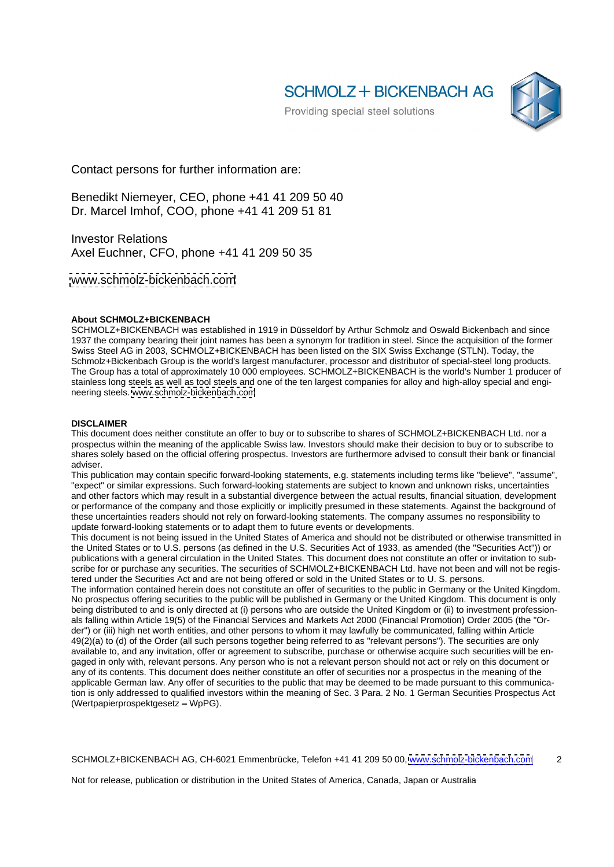**SCHMOLZ + BICKENBACH AG** 



Contact persons for further information are:

Benedikt Niemeyer, CEO, phone +41 41 209 50 40 Dr. Marcel Imhof, COO, phone +41 41 209 51 81

Investor Relations **Executive Services** and the service of the service of the service of the service of the service of the service of the service of the service of the service of the service of the service of the service o Axel Euchner, CFO, phone +41 41 209 50 35

[www.schmolz-bickenbach.com](http://www.schmolz-bickenbach.com)

## **About SCHMOLZ+BICKENBACH**

SCHMOLZ+BICKENBACH was established in 1919 in Düsseldorf by Arthur Schmolz and Oswald Bickenbach and since 1937 the company bearing their joint names has been a synonym for tradition in steel. Since the acquisition of the former Swiss Steel AG in 2003, SCHMOLZ+BICKENBACH has been listed on the SIX Swiss Exchange (STLN). Today, the Schmolz+Bickenbach Group is the world's largest manufacturer, processor and distributor of special-steel long products. The Group has a total of approximately 10 000 employees. SCHMOLZ+BICKENBACH is the world's Number 1 producer of stainless long steels as well as tool steels and one of the ten largest companies for alloy and high-alloy special and engi-<br>neering steels, www.schmolz-bickenbach.com neering steels. [www.schmolz-bickenbach.com](http://www.schmolz-bickenbach.com)

## **DISCLAIMER**

This document does neither constitute an offer to buy or to subscribe to shares of SCHMOLZ+BICKENBACH Ltd. nor a prospectus within the meaning of the applicable Swiss law. Investors should make their decision to buy or to subscribe to shares solely based on the official offering prospectus. Investors are furthermore advised to consult their bank or financial adviser. The contract of the contract of the contract of the contract of the contract of the contract of the contract of the contract of the contract of the contract of the contract of the contract of the contract of the c

This publication may contain specific forward-looking statements, e.g. statements including terms like "believe", "assume", "expect" or similar expressions. Such forward-looking statements are subject to known and unknown risks, uncertainties and other factors which may result in a substantial divergence between the actual results, financial situation, development or performance of the company and those explicitly or implicitly presumed in these statements. Against the background of these uncertainties readers should not rely on forward-looking statements. The company assumes no responsibility to update forward-looking statements or to adapt them to future events or developments.

This document is not being issued in the United States of America and should not be distributed or otherwise transmitted in the United States or to U.S. persons (as defined in the U.S. Securities Act of 1933, as amended (the "Securities Act")) or publications with a general circulation in the United States. This document does not constitute an offer or invitation to subscribe for or purchase any securities. The securities of SCHMOLZ+BICKENBACH Ltd. have not been and will not be registered under the Securities Act and are not being offered or sold in the United States or to U. S. persons.

The information contained herein does not constitute an offer of securities to the public in Germany or the United Kingdom. No prospectus offering securities to the public will be published in Germany or the United Kingdom. This document is only being distributed to and is only directed at (i) persons who are outside the United Kingdom or (ii) to investment professionals falling within Article 19(5) of the Financial Services and Markets Act 2000 (Financial Promotion) Order 2005 (the "Order") or (iii) high net worth entities, and other persons to whom it may lawfully be communicated, falling within Article 49(2)(a) to (d) of the Order (all such persons together being referred to as "relevant persons"). The securities are only available to, and any invitation, offer or agreement to subscribe, purchase or otherwise acquire such securities will be engaged in only with, relevant persons. Any person who is not a relevant person should not act or rely on this document or any of its contents. This document does neither constitute an offer of securities nor a prospectus in the meaning of the applicable German law. Any offer of securities to the public that may be deemed to be made pursuant to this communication is only addressed to qualified investors within the meaning of Sec. 3 Para. 2 No. 1 German Securities Prospectus Act  $(Wertpapierprospektgesetz - WpPG).$ 

SCHMOLZ+BICKENBACH AG, CH-6021 Emmenbrücke, Telefon +41 41 209 50 00, [www.schmolz-bickenbach.com](http://www.schmolz-bickenbach.com) 2